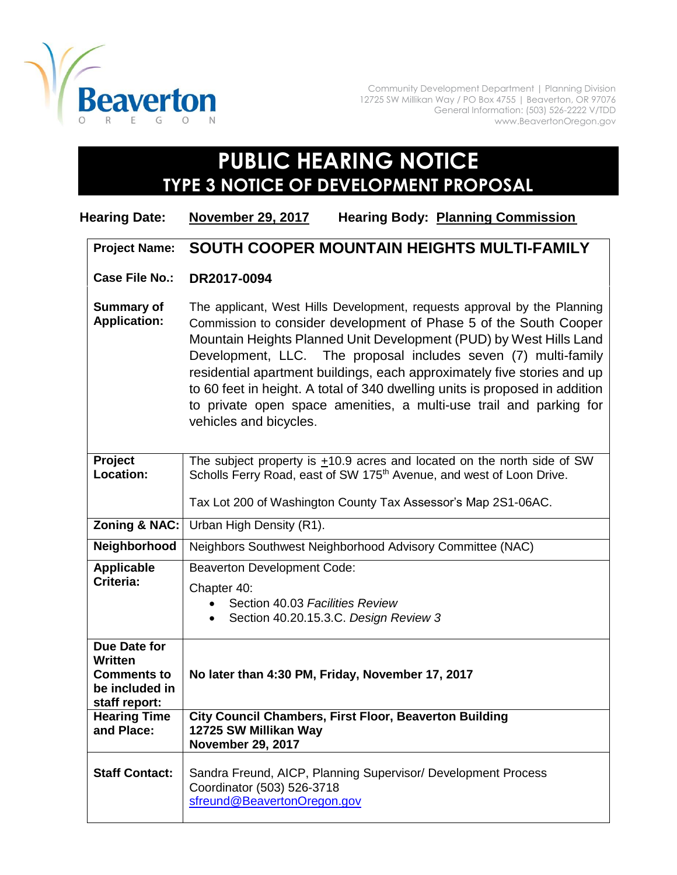

Community Development Department | Planning Division 12725 SW Millikan Way / PO Box 4755 | Beaverton, OR 97076 General Information: (503) 526-2222 V/TDD www.BeavertonOregon.gov

## **PUBLIC HEARING NOTICE TYPE 3 NOTICE OF DEVELOPMENT PROPOSAL**

| <b>Hearing Date:</b>                                                             | <b>November 29, 2017</b><br><b>Hearing Body: Planning Commission</b>                                                                                                                                                                                                                                                                                                                                                                                                                                                                            |
|----------------------------------------------------------------------------------|-------------------------------------------------------------------------------------------------------------------------------------------------------------------------------------------------------------------------------------------------------------------------------------------------------------------------------------------------------------------------------------------------------------------------------------------------------------------------------------------------------------------------------------------------|
| <b>Project Name:</b>                                                             | SOUTH COOPER MOUNTAIN HEIGHTS MULTI-FAMILY                                                                                                                                                                                                                                                                                                                                                                                                                                                                                                      |
| <b>Case File No.:</b>                                                            | DR2017-0094                                                                                                                                                                                                                                                                                                                                                                                                                                                                                                                                     |
| <b>Summary of</b><br><b>Application:</b>                                         | The applicant, West Hills Development, requests approval by the Planning<br>Commission to consider development of Phase 5 of the South Cooper<br>Mountain Heights Planned Unit Development (PUD) by West Hills Land<br>Development, LLC. The proposal includes seven (7) multi-family<br>residential apartment buildings, each approximately five stories and up<br>to 60 feet in height. A total of 340 dwelling units is proposed in addition<br>to private open space amenities, a multi-use trail and parking for<br>vehicles and bicycles. |
| Project<br>Location:                                                             | The subject property is +10.9 acres and located on the north side of SW<br>Scholls Ferry Road, east of SW 175 <sup>th</sup> Avenue, and west of Loon Drive.                                                                                                                                                                                                                                                                                                                                                                                     |
|                                                                                  | Tax Lot 200 of Washington County Tax Assessor's Map 2S1-06AC.                                                                                                                                                                                                                                                                                                                                                                                                                                                                                   |
| Zoning & NAC:                                                                    | Urban High Density (R1).                                                                                                                                                                                                                                                                                                                                                                                                                                                                                                                        |
| Neighborhood                                                                     | Neighbors Southwest Neighborhood Advisory Committee (NAC)                                                                                                                                                                                                                                                                                                                                                                                                                                                                                       |
| <b>Applicable</b><br>Criteria:                                                   | <b>Beaverton Development Code:</b><br>Chapter 40:<br>Section 40.03 Facilities Review<br>Section 40.20.15.3.C. Design Review 3<br>$\bullet$                                                                                                                                                                                                                                                                                                                                                                                                      |
| Due Date for<br>Written<br><b>Comments to</b><br>be included in<br>staff report: | No later than 4:30 PM, Friday, November 17, 2017                                                                                                                                                                                                                                                                                                                                                                                                                                                                                                |
| <b>Hearing Time</b><br>and Place:                                                | <b>City Council Chambers, First Floor, Beaverton Building</b><br>12725 SW Millikan Way<br><b>November 29, 2017</b>                                                                                                                                                                                                                                                                                                                                                                                                                              |
| <b>Staff Contact:</b>                                                            | Sandra Freund, AICP, Planning Supervisor/ Development Process<br>Coordinator (503) 526-3718<br>sfreund@BeavertonOregon.gov                                                                                                                                                                                                                                                                                                                                                                                                                      |